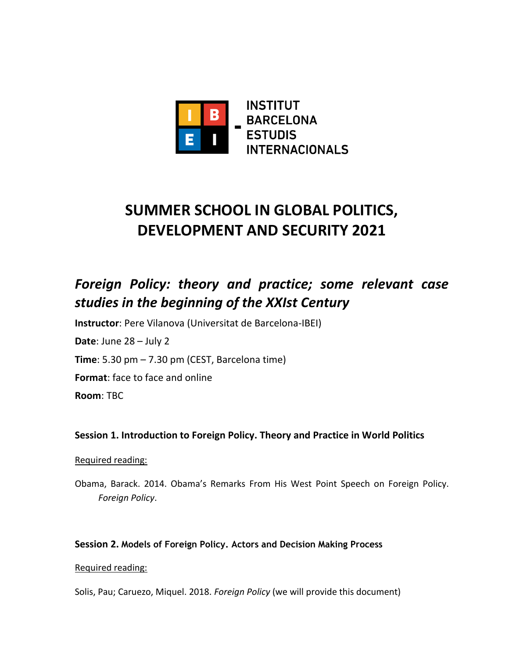

# **SUMMER SCHOOL IN GLOBAL POLITICS, DEVELOPMENT AND SECURITY 2021**

## *Foreign Policy: theory and practice; some relevant case studies in the beginning of the XXIst Century*

**Instructor**: Pere Vilanova (Universitat de Barcelona-IBEI)

**Date**: June 28 – July 2

**Time**: 5.30 pm – 7.30 pm (CEST, Barcelona time)

**Format**: face to face and online

**Room**: TBC

#### **Session 1. Introduction to Foreign Policy. Theory and Practice in World Politics**

#### Required reading:

Obama, Barack. 2014. Obama's Remarks From His West Point Speech on Foreign Policy. *Foreign Policy*.

#### **Session 2. Models of Foreign Policy. Actors and Decision Making Process**

#### Required reading:

Solis, Pau; Caruezo, Miquel. 2018. *Foreign Policy* (we will provide this document)